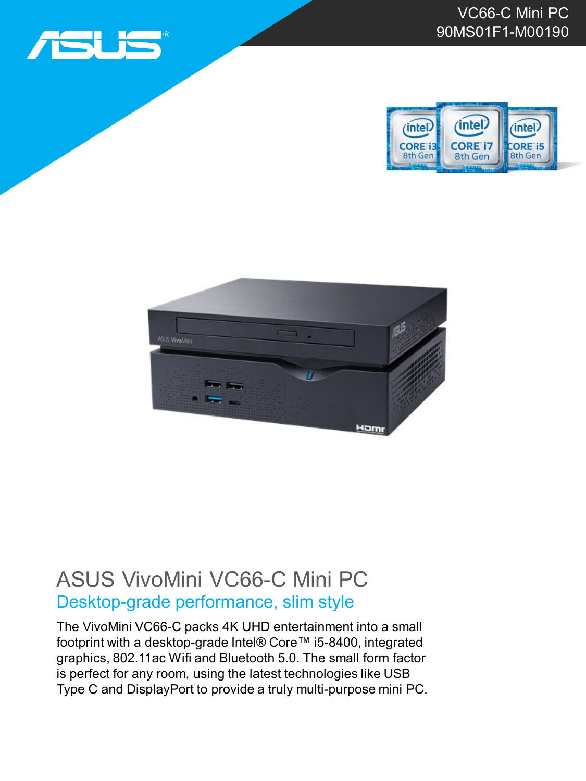





## ASUS VivoMini VC66-C Mini PC Desktop-grade performance, slim style

The VivoMini VC66-C packs 4K UHD entertainment into a small footprint with a desktop-grade Intel® Core™ i5-8400, integrated graphics, 802.11ac Wifi and Bluetooth 5.0. The small form factor is perfect for any room, using the latest technologies like USB Type C and DisplayPort to provide a truly multi-purpose mini PC.